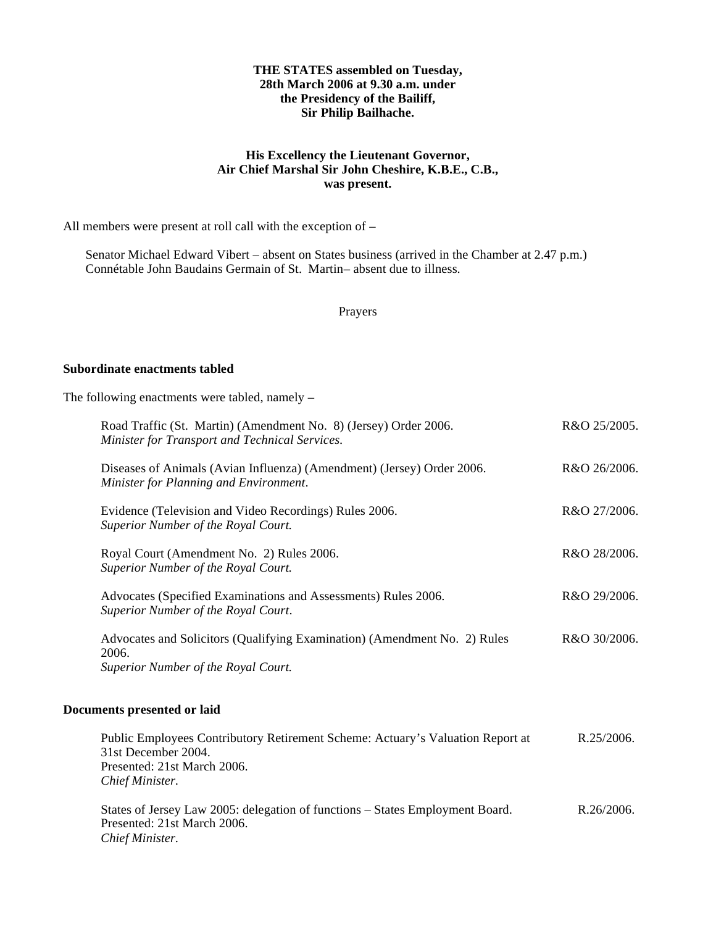### **THE STATES assembled on Tuesday, 28th March 2006 at 9.30 a.m. under the Presidency of the Bailiff, Sir Philip Bailhache.**

## **His Excellency the Lieutenant Governor, Air Chief Marshal Sir John Cheshire, K.B.E., C.B., was present.**

All members were present at roll call with the exception of –

 Senator Michael Edward Vibert – absent on States business (arrived in the Chamber at 2.47 p.m.) Connétable John Baudains Germain of St. Martin-absent due to illness.

Prayers

### **Subordinate enactments tabled**

The following enactments were tabled, namely –

| Road Traffic (St. Martin) (Amendment No. 8) (Jersey) Order 2006.<br>Minister for Transport and Technical Services.        | R&O 25/2005. |
|---------------------------------------------------------------------------------------------------------------------------|--------------|
| Diseases of Animals (Avian Influenza) (Amendment) (Jersey) Order 2006.<br>Minister for Planning and Environment.          | R&O 26/2006. |
| Evidence (Television and Video Recordings) Rules 2006.<br>Superior Number of the Royal Court.                             | R&O 27/2006. |
| Royal Court (Amendment No. 2) Rules 2006.<br>Superior Number of the Royal Court.                                          | R&O 28/2006. |
| Advocates (Specified Examinations and Assessments) Rules 2006.<br>Superior Number of the Royal Court.                     | R&O 29/2006. |
| Advocates and Solicitors (Qualifying Examination) (Amendment No. 2) Rules<br>2006.<br>Superior Number of the Royal Court. | R&O 30/2006. |
| Documents presented or laid                                                                                               |              |

| Public Employees Contributory Retirement Scheme: Actuary's Valuation Report at | R.25/2006. |
|--------------------------------------------------------------------------------|------------|
| 31st December 2004.                                                            |            |
| Presented: 21st March 2006.                                                    |            |
| Chief Minister.                                                                |            |
|                                                                                |            |

States of Jersey Law 2005: delegation of functions – States Employment Board. Presented: 21st March 2006. *Chief Minister.* R.26/2006.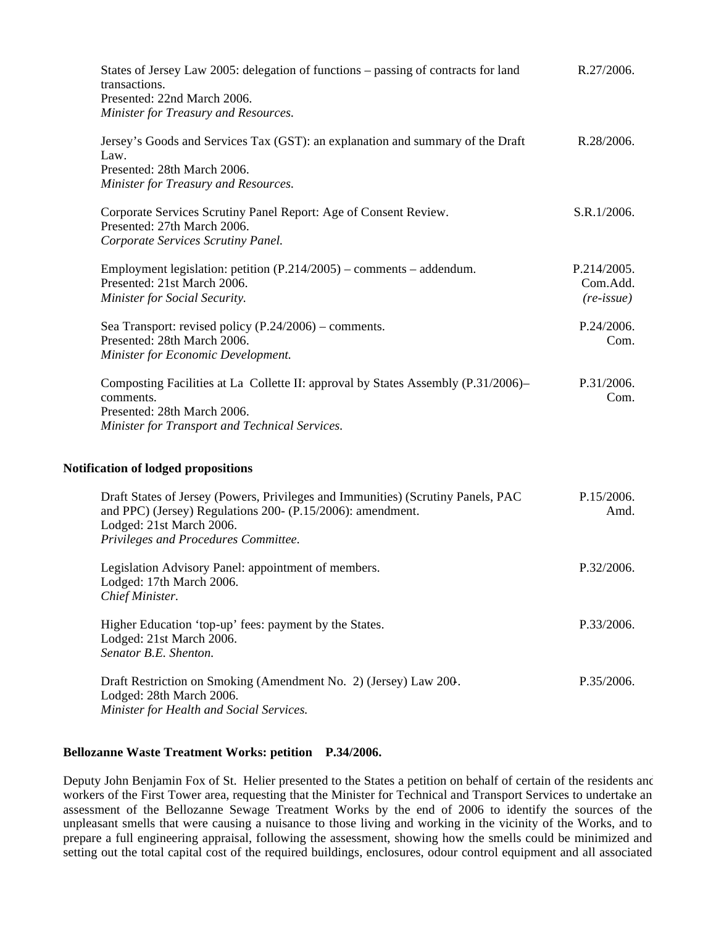| States of Jersey Law 2005: delegation of functions – passing of contracts for land<br>transactions.<br>Presented: 22nd March 2006.                                                                                 | R.27/2006.                                     |
|--------------------------------------------------------------------------------------------------------------------------------------------------------------------------------------------------------------------|------------------------------------------------|
| Minister for Treasury and Resources.                                                                                                                                                                               |                                                |
| Jersey's Goods and Services Tax (GST): an explanation and summary of the Draft<br>Law.<br>Presented: 28th March 2006.<br>Minister for Treasury and Resources.                                                      | R.28/2006.                                     |
| Corporate Services Scrutiny Panel Report: Age of Consent Review.<br>Presented: 27th March 2006.<br>Corporate Services Scrutiny Panel.                                                                              | S.R.1/2006.                                    |
| Employment legislation: petition (P.214/2005) - comments - addendum.<br>Presented: 21st March 2006.<br>Minister for Social Security.                                                                               | P.214/2005.<br>Com.Add.<br>$(re\text{-}issue)$ |
| Sea Transport: revised policy $(P.24/2006)$ – comments.<br>Presented: 28th March 2006.<br>Minister for Economic Development.                                                                                       | P.24/2006.<br>Com.                             |
| Composting Facilities at La Collette II: approval by States Assembly (P.31/2006)–<br>comments.<br>Presented: 28th March 2006.<br>Minister for Transport and Technical Services.                                    | P.31/2006.<br>Com.                             |
| <b>Notification of lodged propositions</b>                                                                                                                                                                         |                                                |
| Draft States of Jersey (Powers, Privileges and Immunities) (Scrutiny Panels, PAC<br>and PPC) (Jersey) Regulations 200- (P.15/2006): amendment.<br>Lodged: 21st March 2006.<br>Privileges and Procedures Committee. | P.15/2006.<br>Amd.                             |
| Legislation Advisory Panel: appointment of members.<br>Lodged: 17th March 2006.<br>Chief Minister.                                                                                                                 | P.32/2006.                                     |
| Higher Education 'top-up' fees: payment by the States.<br>Lodged: 21st March 2006.<br>Senator B.E. Shenton.                                                                                                        | P.33/2006.                                     |
| Draft Restriction on Smoking (Amendment No. 2) (Jersey) Law 200.<br>Lodged: 28th March 2006.                                                                                                                       | P.35/2006.                                     |

*Minister for Health and Social Services.*

### **Bellozanne Waste Treatment Works: petition P.34/2006.**

Deputy John Benjamin Fox of St. Helier presented to the States a petition on behalf of certain of the residents and workers of the First Tower area, requesting that the Minister for Technical and Transport Services to undertake an assessment of the Bellozanne Sewage Treatment Works by the end of 2006 to identify the sources of the unpleasant smells that were causing a nuisance to those living and working in the vicinity of the Works, and to prepare a full engineering appraisal, following the assessment, showing how the smells could be minimized and setting out the total capital cost of the required buildings, enclosures, odour control equipment and all associated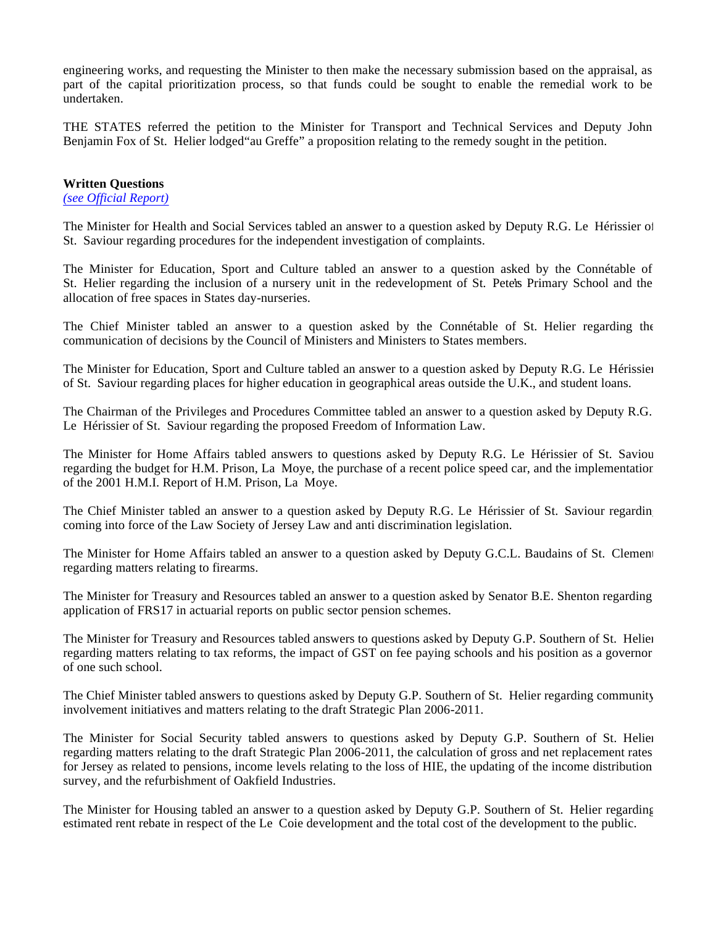engineering works, and requesting the Minister to then make the necessary submission based on the appraisal, as part of the capital prioritization process, so that funds could be sought to enable the remedial work to be undertaken.

THE STATES referred the petition to the Minister for Transport and Technical Services and Deputy John Benjamin Fox of St. Helier lodged"au Greffe" a proposition relating to the remedy sought in the petition.

### **Written Questions**

*(see Official Report)*

The Minister for Health and Social Services tabled an answer to a question asked by Deputy R.G. Le Hérissier of St. Saviour regarding procedures for the independent investigation of complaints.

The Minister for Education, Sport and Culture tabled an answer to a question asked by the Connétable of St. Helier regarding the inclusion of a nursery unit in the redevelopment of St. Peter's Primary School and the allocation of free spaces in States day-nurseries.

The Chief Minister tabled an answer to a question asked by the Connétable of St. Helier regarding the communication of decisions by the Council of Ministers and Ministers to States members.

The Minister for Education, Sport and Culture tabled an answer to a question asked by Deputy R.G. Le Hérissier of St. Saviour regarding places for higher education in geographical areas outside the U.K., and student loans.

The Chairman of the Privileges and Procedures Committee tabled an answer to a question asked by Deputy R.G. Le Hérissier of St. Saviour regarding the proposed Freedom of Information Law.

The Minister for Home Affairs tabled answers to questions asked by Deputy R.G. Le Hérissier of St. Saviour regarding the budget for H.M. Prison, La Moye, the purchase of a recent police speed car, and the implementation of the 2001 H.M.I. Report of H.M. Prison, La Moye.

The Chief Minister tabled an answer to a question asked by Deputy R.G. Le Hérissier of St. Saviour regarding coming into force of the Law Society of Jersey Law and anti discrimination legislation.

The Minister for Home Affairs tabled an answer to a question asked by Deputy G.C.L. Baudains of St. Clement regarding matters relating to firearms.

The Minister for Treasury and Resources tabled an answer to a question asked by Senator B.E. Shenton regarding application of FRS17 in actuarial reports on public sector pension schemes.

The Minister for Treasury and Resources tabled answers to questions asked by Deputy G.P. Southern of St. Helier regarding matters relating to tax reforms, the impact of GST on fee paying schools and his position as a governor of one such school.

The Chief Minister tabled answers to questions asked by Deputy G.P. Southern of St. Helier regarding community involvement initiatives and matters relating to the draft Strategic Plan 2006-2011.

The Minister for Social Security tabled answers to questions asked by Deputy G.P. Southern of St. Helier regarding matters relating to the draft Strategic Plan 2006-2011, the calculation of gross and net replacement rates for Jersey as related to pensions, income levels relating to the loss of HIE, the updating of the income distribution survey, and the refurbishment of Oakfield Industries.

The Minister for Housing tabled an answer to a question asked by Deputy G.P. Southern of St. Helier regarding estimated rent rebate in respect of the Le Coie development and the total cost of the development to the public.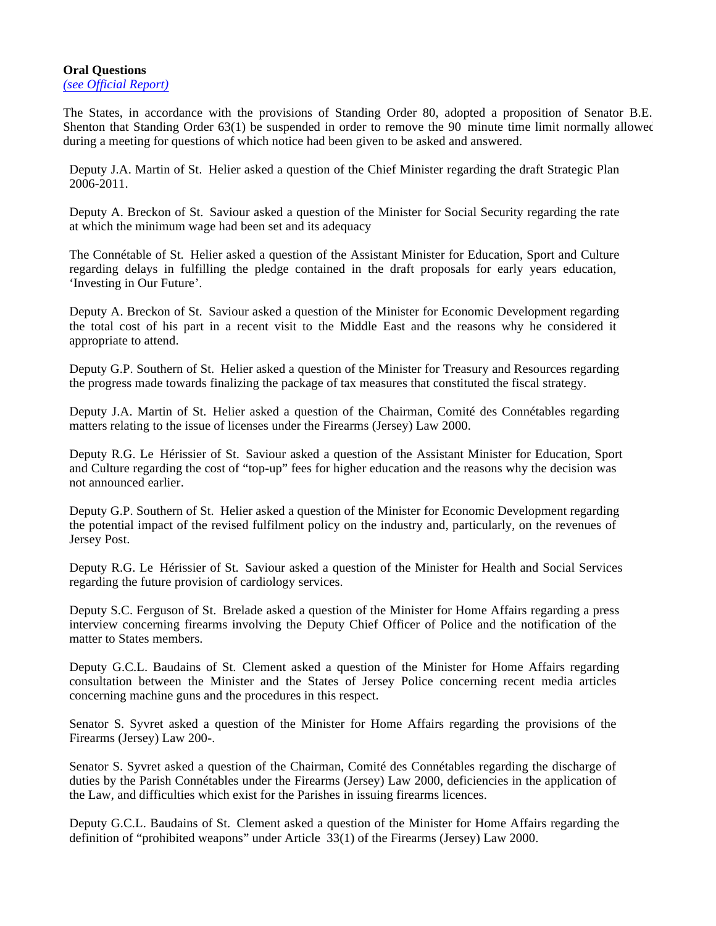### **Oral Questions** *(see Official Report)*

The States, in accordance with the provisions of Standing Order 80, adopted a proposition of Senator B.E. Shenton that Standing Order 63(1) be suspended in order to remove the 90 minute time limit normally allowed during a meeting for questions of which notice had been given to be asked and answered.

Deputy J.A. Martin of St. Helier asked a question of the Chief Minister regarding the draft Strategic Plan 2006-2011.

Deputy A. Breckon of St. Saviour asked a question of the Minister for Social Security regarding the rate at which the minimum wage had been set and its adequacy

The Connétable of St. Helier asked a question of the Assistant Minister for Education, Sport and Culture regarding delays in fulfilling the pledge contained in the draft proposals for early years education, 'Investing in Our Future'.

Deputy A. Breckon of St. Saviour asked a question of the Minister for Economic Development regarding the total cost of his part in a recent visit to the Middle East and the reasons why he considered it appropriate to attend.

Deputy G.P. Southern of St. Helier asked a question of the Minister for Treasury and Resources regarding the progress made towards finalizing the package of tax measures that constituted the fiscal strategy.

Deputy J.A. Martin of St. Helier asked a question of the Chairman, Comité des Connétables regarding matters relating to the issue of licenses under the Firearms (Jersey) Law 2000.

Deputy R.G. Le Hérissier of St. Saviour asked a question of the Assistant Minister for Education, Sport and Culture regarding the cost of "top-up" fees for higher education and the reasons why the decision was not announced earlier.

Deputy G.P. Southern of St. Helier asked a question of the Minister for Economic Development regarding the potential impact of the revised fulfilment policy on the industry and, particularly, on the revenues of Jersey Post.

Deputy R.G. Le Hérissier of St. Saviour asked a question of the Minister for Health and Social Services regarding the future provision of cardiology services.

Deputy S.C. Ferguson of St. Brelade asked a question of the Minister for Home Affairs regarding a press interview concerning firearms involving the Deputy Chief Officer of Police and the notification of the matter to States members.

Deputy G.C.L. Baudains of St. Clement asked a question of the Minister for Home Affairs regarding consultation between the Minister and the States of Jersey Police concerning recent media articles concerning machine guns and the procedures in this respect.

Senator S. Syvret asked a question of the Minister for Home Affairs regarding the provisions of the Firearms (Jersey) Law 200-.

Senator S. Syvret asked a question of the Chairman, Comité des Connétables regarding the discharge of duties by the Parish Connétables under the Firearms (Jersey) Law 2000, deficiencies in the application of the Law, and difficulties which exist for the Parishes in issuing firearms licences.

Deputy G.C.L. Baudains of St. Clement asked a question of the Minister for Home Affairs regarding the definition of "prohibited weapons" under Article 33(1) of the Firearms (Jersey) Law 2000.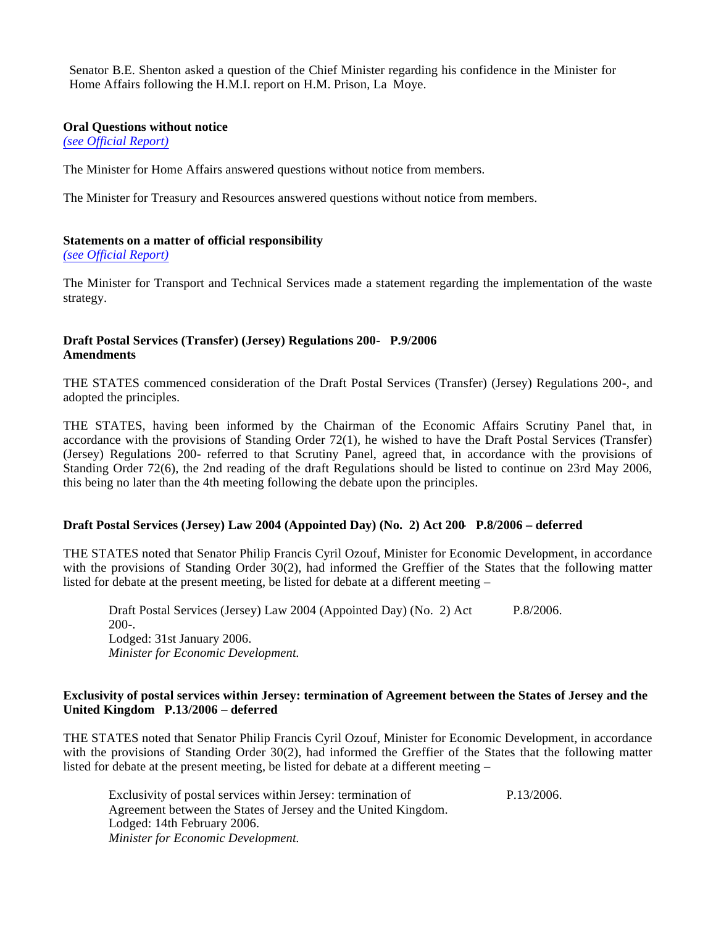Senator B.E. Shenton asked a question of the Chief Minister regarding his confidence in the Minister for Home Affairs following the H.M.I. report on H.M. Prison, La Moye.

### **Oral Questions without notice**

*(see Official Report)*

The Minister for Home Affairs answered questions without notice from members.

The Minister for Treasury and Resources answered questions without notice from members.

## **Statements on a matter of official responsibility**

*(see Official Report)*

The Minister for Transport and Technical Services made a statement regarding the implementation of the waste strategy.

## **Draft Postal Services (Transfer) (Jersey) Regulations 200- P.9/2006 Amendments**

THE STATES commenced consideration of the Draft Postal Services (Transfer) (Jersey) Regulations 200-, and adopted the principles.

THE STATES, having been informed by the Chairman of the Economic Affairs Scrutiny Panel that, in accordance with the provisions of Standing Order 72(1), he wished to have the Draft Postal Services (Transfer) (Jersey) Regulations 200- referred to that Scrutiny Panel, agreed that, in accordance with the provisions of Standing Order 72(6), the 2nd reading of the draft Regulations should be listed to continue on 23rd May 2006, this being no later than the 4th meeting following the debate upon the principles.

## **Draft Postal Services (Jersey) Law 2004 (Appointed Day) (No. 2) Act 200- P.8/2006 – deferred**

THE STATES noted that Senator Philip Francis Cyril Ozouf, Minister for Economic Development, in accordance with the provisions of Standing Order 30(2), had informed the Greffier of the States that the following matter listed for debate at the present meeting, be listed for debate at a different meeting –

Draft Postal Services (Jersey) Law 2004 (Appointed Day) (No. 2) Act 200-. Lodged: 31st January 2006. *Minister for Economic Development.* P.8/2006.

## **Exclusivity of postal services within Jersey: termination of Agreement between the States of Jersey and the United Kingdom P.13/2006 – deferred**

THE STATES noted that Senator Philip Francis Cyril Ozouf, Minister for Economic Development, in accordance with the provisions of Standing Order 30(2), had informed the Greffier of the States that the following matter listed for debate at the present meeting, be listed for debate at a different meeting –

Exclusivity of postal services within Jersey: termination of Agreement between the States of Jersey and the United Kingdom. Lodged: 14th February 2006. *Minister for Economic Development.* P.13/2006.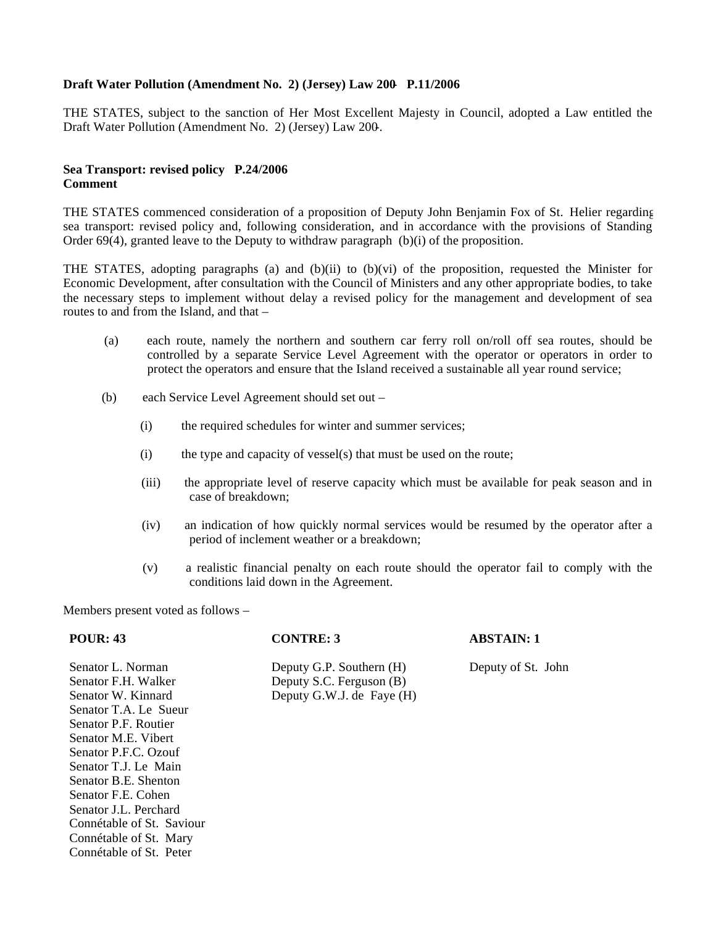## **Draft Water Pollution (Amendment No. 2) (Jersey) Law 200- P.11/2006**

THE STATES, subject to the sanction of Her Most Excellent Majesty in Council, adopted a Law entitled the Draft Water Pollution (Amendment No. 2) (Jersey) Law 200-.

## **Sea Transport: revised policy P.24/2006 Comment**

THE STATES commenced consideration of a proposition of Deputy John Benjamin Fox of St. Helier regarding sea transport: revised policy and, following consideration, and in accordance with the provisions of Standing Order 69(4), granted leave to the Deputy to withdraw paragraph  $(b)(i)$  of the proposition.

THE STATES, adopting paragraphs (a) and (b)(ii) to (b)(vi) of the proposition, requested the Minister for Economic Development, after consultation with the Council of Ministers and any other appropriate bodies, to take the necessary steps to implement without delay a revised policy for the management and development of sea routes to and from the Island, and that –

- (a) each route, namely the northern and southern car ferry roll on/roll off sea routes, should be controlled by a separate Service Level Agreement with the operator or operators in order to protect the operators and ensure that the Island received a sustainable all year round service;
- (b) each Service Level Agreement should set out
	- (i) the required schedules for winter and summer services;
	- (i) the type and capacity of vessel(s) that must be used on the route;
	- (iii) the appropriate level of reserve capacity which must be available for peak season and in case of breakdown;
	- (iv) an indication of how quickly normal services would be resumed by the operator after a period of inclement weather or a breakdown;
	- (v) a realistic financial penalty on each route should the operator fail to comply with the conditions laid down in the Agreement.

Members present voted as follows –

## **POUR: 43 CONTRE: 3 ABSTAIN: 1**

Senator L. Norman Deputy G.P. Southern (H) Deputy of St. John Senator F.H. Walker Deputy S.C. Ferguson (B)<br>
Senator W. Kinnard Deputy G.W.J. de Fave (H Deputy G.W.J. de Faye  $(H)$ 

Senator T.A. Le Sueur Senator P.F. Routier Senator M.E. Vibert Senator P.F.C. Ozouf Senator T.J. Le Main Senator B.E. Shenton Senator F.E. Cohen Senator J.L. Perchard Connétable of St. Saviour Connétable of St. Mary Connétable of St. Peter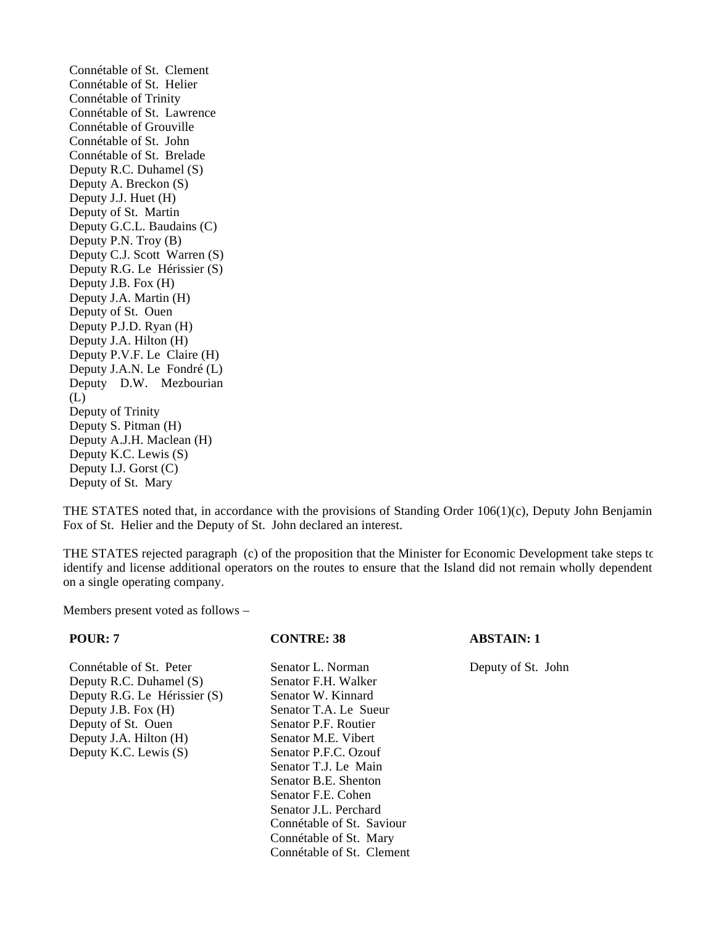Connétable of St. Clement Connétable of St. Helier Connétable of Trinity Connétable of St. Lawrence Connétable of Grouville Connétable of St. John Connétable of St. Brelade Deputy R.C. Duhamel (S) Deputy A. Breckon (S) Deputy J.J. Huet (H) Deputy of St. Martin Deputy G.C.L. Baudains (C) Deputy P.N. Troy (B) Deputy C.J. Scott Warren (S) Deputy R.G. Le Hérissier (S) Deputy J.B. Fox (H) Deputy J.A. Martin (H) Deputy of St. Ouen Deputy P.J.D. Ryan (H) Deputy J.A. Hilton (H) Deputy P.V.F. Le Claire (H) Deputy J.A.N. Le Fondré (L) Deputy D.W. Mezbourian (L) Deputy of Trinity Deputy S. Pitman (H) Deputy A.J.H. Maclean (H) Deputy K.C. Lewis (S) Deputy I.J. Gorst (C) Deputy of St. Mary

THE STATES noted that, in accordance with the provisions of Standing Order 106(1)(c), Deputy John Benjamin Fox of St. Helier and the Deputy of St. John declared an interest.

THE STATES rejected paragraph (c) of the proposition that the Minister for Economic Development take steps to identify and license additional operators on the routes to ensure that the Island did not remain wholly dependent on a single operating company.

Members present voted as follows –

Connétable of St. Peter Senator L. Norman Deputy of St. John Deputy R.C. Duhamel (S) Senator F.H. Walker Deputy R.G. Le Hérissier (S) Senator W. Kinnard Deputy J.B. Fox (H) Senator T.A. Le Sueur Deputy of St. Ouen Senator P.F. Routier Deputy J.A. Hilton (H) Senator M.E. Vibert<br>Deputy K.C. Lewis (S) Senator P.F.C. Ozouf Deputy K.C. Lewis  $(S)$ 

Senator T.J. Le Main Senator B.E. Shenton Senator F.E. Cohen Senator J.L. Perchard Connétable of St. Saviour Connétable of St. Mary Connétable of St. Clement

### **POUR: 7 CONTRE: 38 ABSTAIN: 1**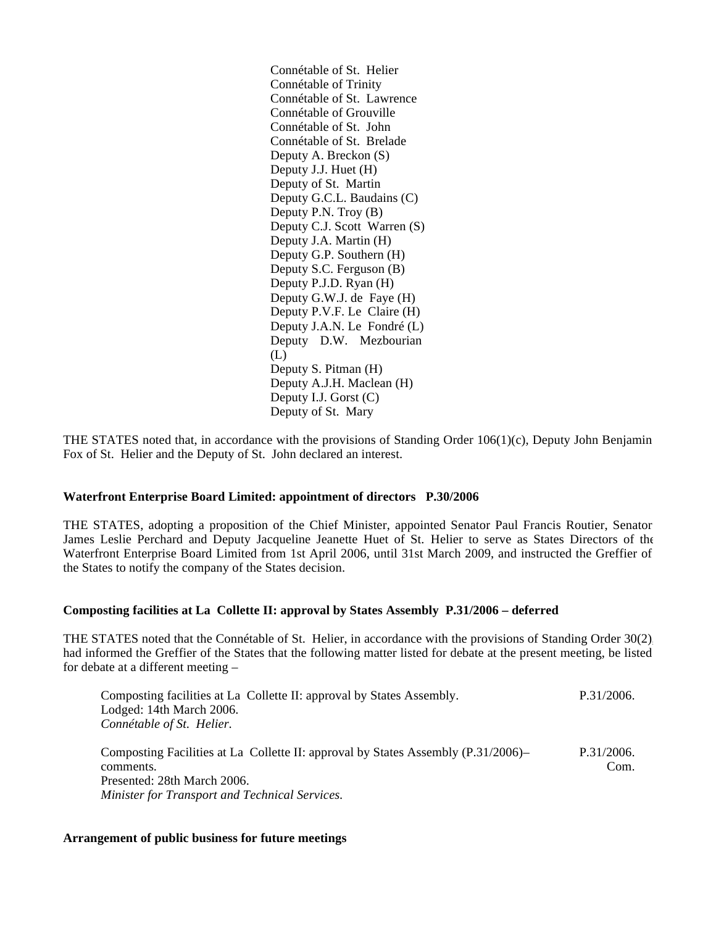Connétable of St. Helier Connétable of Trinity Connétable of St. Lawrence Connétable of Grouville Connétable of St. John Connétable of St. Brelade Deputy A. Breckon (S) Deputy J.J. Huet (H) Deputy of St. Martin Deputy G.C.L. Baudains (C) Deputy P.N. Troy (B) Deputy C.J. Scott Warren (S) Deputy J.A. Martin (H) Deputy G.P. Southern (H) Deputy S.C. Ferguson (B) Deputy P.J.D. Ryan (H) Deputy G.W.J. de Faye (H) Deputy P.V.F. Le Claire (H) Deputy J.A.N. Le Fondré (L) Deputy D.W. Mezbourian (L) Deputy S. Pitman (H) Deputy A.J.H. Maclean (H) Deputy I.J. Gorst (C) Deputy of St. Mary

THE STATES noted that, in accordance with the provisions of Standing Order 106(1)(c), Deputy John Benjamin Fox of St. Helier and the Deputy of St. John declared an interest.

### **Waterfront Enterprise Board Limited: appointment of directors P.30/2006**

THE STATES, adopting a proposition of the Chief Minister, appointed Senator Paul Francis Routier, Senator James Leslie Perchard and Deputy Jacqueline Jeanette Huet of St. Helier to serve as States Directors of the Waterfront Enterprise Board Limited from 1st April 2006, until 31st March 2009, and instructed the Greffier of the States to notify the company of the States decision.

## **Composting facilities at La Collette II: approval by States Assembly P.31/2006 – deferred**

THE STATES noted that the Connétable of St. Helier, in accordance with the provisions of Standing Order 30(2), had informed the Greffier of the States that the following matter listed for debate at the present meeting, be listed for debate at a different meeting –

| Composting facilities at La Collette II: approval by States Assembly.<br>Lodged: 14th March 2006.<br>Connétable of St. Helier.                                                  | P.31/2006.         |
|---------------------------------------------------------------------------------------------------------------------------------------------------------------------------------|--------------------|
| Composting Facilities at La Collette II: approval by States Assembly (P.31/2006)–<br>comments.<br>Presented: 28th March 2006.<br>Minister for Transport and Technical Services. | P.31/2006.<br>Com. |

### **Arrangement of public business for future meetings**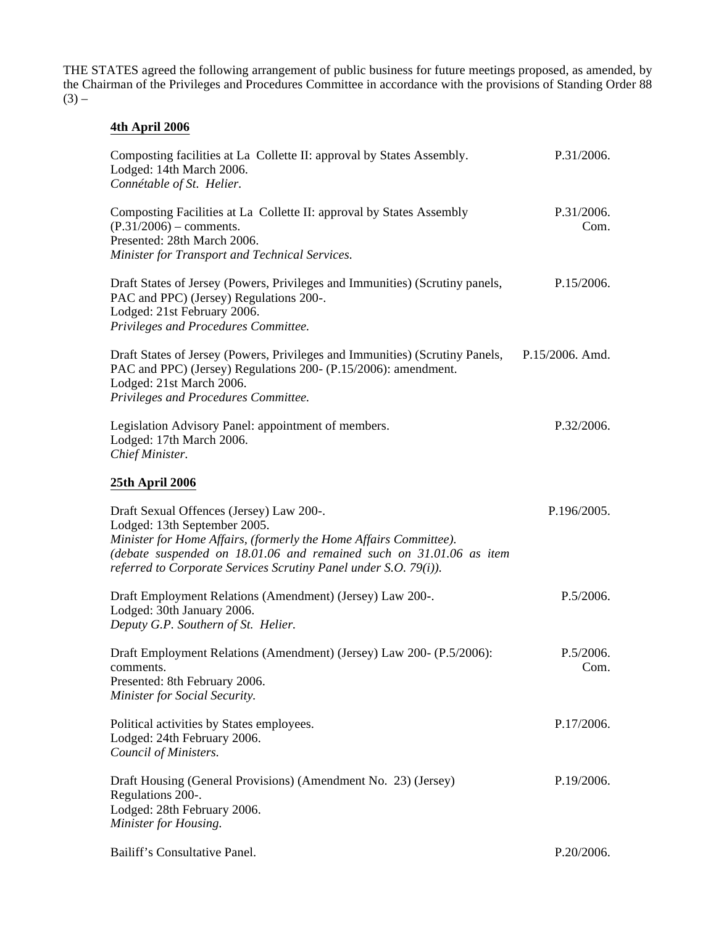THE STATES agreed the following arrangement of public business for future meetings proposed, as amended, by the Chairman of the Privileges and Procedures Committee in accordance with the provisions of Standing Order 88  $(3)$  –

# **4th April 2006**

| Composting facilities at La Collette II: approval by States Assembly.<br>Lodged: 14th March 2006.<br>Connétable of St. Helier.                                                                                                                                                           | P.31/2006.         |
|------------------------------------------------------------------------------------------------------------------------------------------------------------------------------------------------------------------------------------------------------------------------------------------|--------------------|
| Composting Facilities at La Collette II: approval by States Assembly<br>$(P.31/2006)$ – comments.<br>Presented: 28th March 2006.<br>Minister for Transport and Technical Services.                                                                                                       | P.31/2006.<br>Com. |
| Draft States of Jersey (Powers, Privileges and Immunities) (Scrutiny panels,<br>PAC and PPC) (Jersey) Regulations 200-.<br>Lodged: 21st February 2006.<br>Privileges and Procedures Committee.                                                                                           | P.15/2006.         |
| Draft States of Jersey (Powers, Privileges and Immunities) (Scrutiny Panels,<br>PAC and PPC) (Jersey) Regulations 200- (P.15/2006): amendment.<br>Lodged: 21st March 2006.<br>Privileges and Procedures Committee.                                                                       | P.15/2006. Amd.    |
| Legislation Advisory Panel: appointment of members.<br>Lodged: 17th March 2006.<br>Chief Minister.                                                                                                                                                                                       | P.32/2006.         |
| 25th April 2006                                                                                                                                                                                                                                                                          |                    |
| Draft Sexual Offences (Jersey) Law 200-.<br>Lodged: 13th September 2005.<br>Minister for Home Affairs, (formerly the Home Affairs Committee).<br>(debate suspended on 18.01.06 and remained such on 31.01.06 as item<br>referred to Corporate Services Scrutiny Panel under S.O. 79(i)). | P.196/2005.        |
| Draft Employment Relations (Amendment) (Jersey) Law 200-.<br>Lodged: 30th January 2006.<br>Deputy G.P. Southern of St. Helier.                                                                                                                                                           | P.5/2006.          |
| Draft Employment Relations (Amendment) (Jersey) Law 200- (P.5/2006):<br>comments.<br>Presented: 8th February 2006.<br>Minister for Social Security.                                                                                                                                      | P.5/2006.<br>Com.  |
| Political activities by States employees.<br>Lodged: 24th February 2006.<br>Council of Ministers.                                                                                                                                                                                        | P.17/2006.         |
| Draft Housing (General Provisions) (Amendment No. 23) (Jersey)<br>Regulations 200-.<br>Lodged: 28th February 2006.<br>Minister for Housing.                                                                                                                                              | P.19/2006.         |
| Bailiff's Consultative Panel.                                                                                                                                                                                                                                                            | P.20/2006.         |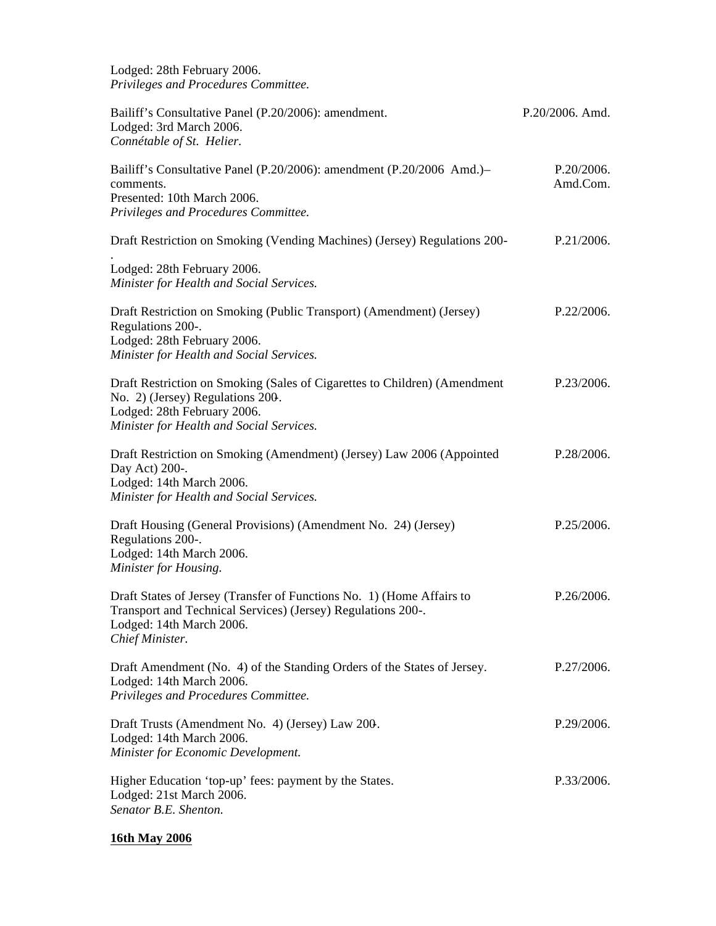Lodged: 28th February 2006. *Privileges and Procedures Committee.*

| Bailiff's Consultative Panel (P.20/2006): amendment.<br>Lodged: 3rd March 2006.<br>Connétable of St. Helier.                                                                             | P.20/2006. Amd.        |
|------------------------------------------------------------------------------------------------------------------------------------------------------------------------------------------|------------------------|
| Bailiff's Consultative Panel (P.20/2006): amendment (P.20/2006 Amd.)-<br>comments.<br>Presented: 10th March 2006.<br>Privileges and Procedures Committee.                                | P.20/2006.<br>Amd.Com. |
| Draft Restriction on Smoking (Vending Machines) (Jersey) Regulations 200-                                                                                                                | P.21/2006.             |
| Lodged: 28th February 2006.<br>Minister for Health and Social Services.                                                                                                                  |                        |
| Draft Restriction on Smoking (Public Transport) (Amendment) (Jersey)<br>Regulations 200-.<br>Lodged: 28th February 2006.<br>Minister for Health and Social Services.                     | P.22/2006.             |
| Draft Restriction on Smoking (Sales of Cigarettes to Children) (Amendment<br>No. 2) (Jersey) Regulations 200.<br>Lodged: 28th February 2006.<br>Minister for Health and Social Services. | P.23/2006.             |
| Draft Restriction on Smoking (Amendment) (Jersey) Law 2006 (Appointed<br>Day Act) 200-.<br>Lodged: 14th March 2006.<br>Minister for Health and Social Services.                          | P.28/2006.             |
| Draft Housing (General Provisions) (Amendment No. 24) (Jersey)<br>Regulations 200-.<br>Lodged: 14th March 2006.<br>Minister for Housing.                                                 | P.25/2006.             |
| Draft States of Jersey (Transfer of Functions No. 1) (Home Affairs to<br>Transport and Technical Services) (Jersey) Regulations 200-.<br>Lodged: 14th March 2006.<br>Chief Minister.     | P.26/2006.             |
| Draft Amendment (No. 4) of the Standing Orders of the States of Jersey.<br>Lodged: 14th March 2006.<br>Privileges and Procedures Committee.                                              | P.27/2006.             |
| Draft Trusts (Amendment No. 4) (Jersey) Law 200.<br>Lodged: 14th March 2006.<br>Minister for Economic Development.                                                                       | P.29/2006.             |
| Higher Education 'top-up' fees: payment by the States.<br>Lodged: 21st March 2006.<br>Senator B.E. Shenton.                                                                              | P.33/2006.             |

# **16th May 2006**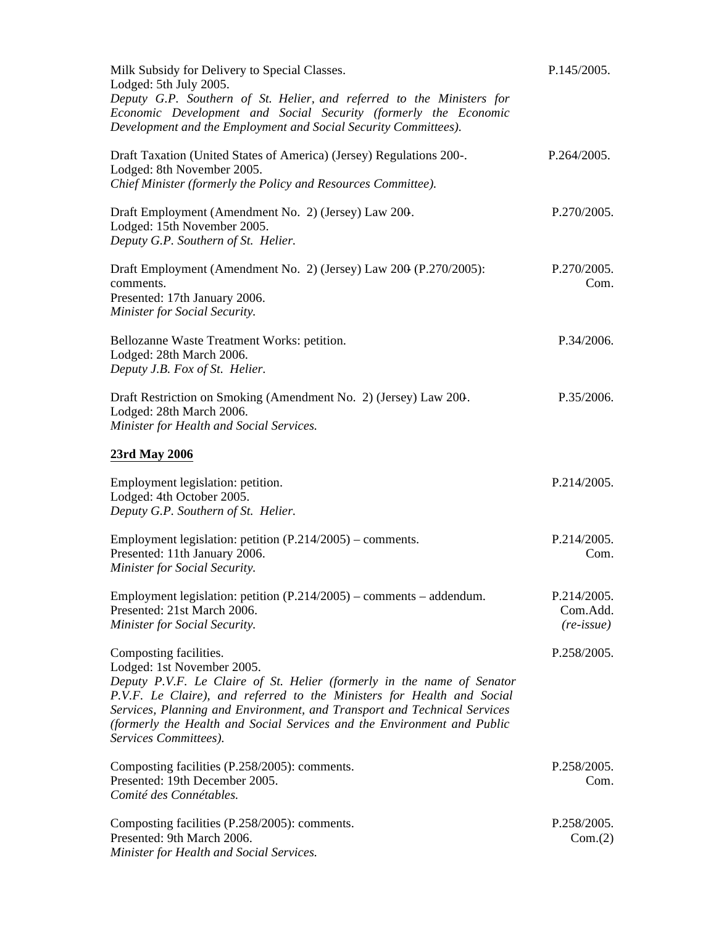| Milk Subsidy for Delivery to Special Classes.<br>Lodged: 5th July 2005.<br>Deputy G.P. Southern of St. Helier, and referred to the Ministers for<br>Economic Development and Social Security (formerly the Economic<br>Development and the Employment and Social Security Committees).                                                                                                   | P.145/2005.                                    |
|------------------------------------------------------------------------------------------------------------------------------------------------------------------------------------------------------------------------------------------------------------------------------------------------------------------------------------------------------------------------------------------|------------------------------------------------|
| Draft Taxation (United States of America) (Jersey) Regulations 200-.<br>Lodged: 8th November 2005.<br>Chief Minister (formerly the Policy and Resources Committee).                                                                                                                                                                                                                      | P.264/2005.                                    |
| Draft Employment (Amendment No. 2) (Jersey) Law 200.<br>Lodged: 15th November 2005.<br>Deputy G.P. Southern of St. Helier.                                                                                                                                                                                                                                                               | P.270/2005.                                    |
| Draft Employment (Amendment No. 2) (Jersey) Law 200 (P.270/2005):<br>comments.<br>Presented: 17th January 2006.<br>Minister for Social Security.                                                                                                                                                                                                                                         | P.270/2005.<br>Com.                            |
| Bellozanne Waste Treatment Works: petition.<br>Lodged: 28th March 2006.<br>Deputy J.B. Fox of St. Helier.                                                                                                                                                                                                                                                                                | P.34/2006.                                     |
| Draft Restriction on Smoking (Amendment No. 2) (Jersey) Law 200.<br>Lodged: 28th March 2006.<br>Minister for Health and Social Services.                                                                                                                                                                                                                                                 | P.35/2006.                                     |
| 23rd May 2006                                                                                                                                                                                                                                                                                                                                                                            |                                                |
| Employment legislation: petition.<br>Lodged: 4th October 2005.<br>Deputy G.P. Southern of St. Helier.                                                                                                                                                                                                                                                                                    | P.214/2005.                                    |
| Employment legislation: petition $(P.214/2005)$ – comments.<br>Presented: 11th January 2006.<br>Minister for Social Security.                                                                                                                                                                                                                                                            | P.214/2005.<br>Com.                            |
| Employment legislation: petition $(P.214/2005)$ – comments – addendum.<br>Presented: 21st March 2006.<br>Minister for Social Security.                                                                                                                                                                                                                                                   | P.214/2005.<br>Com.Add.<br>$(re\text{-}issue)$ |
| Composting facilities.<br>Lodged: 1st November 2005.<br>Deputy P.V.F. Le Claire of St. Helier (formerly in the name of Senator<br>P.V.F. Le Claire), and referred to the Ministers for Health and Social<br>Services, Planning and Environment, and Transport and Technical Services<br>(formerly the Health and Social Services and the Environment and Public<br>Services Committees). | P.258/2005.                                    |
| Composting facilities (P.258/2005): comments.<br>Presented: 19th December 2005.<br>Comité des Connétables.                                                                                                                                                                                                                                                                               | P.258/2005.<br>Com.                            |
| Composting facilities (P.258/2005): comments.<br>Presented: 9th March 2006.<br>Minister for Health and Social Services.                                                                                                                                                                                                                                                                  | P.258/2005.<br>Com.(2)                         |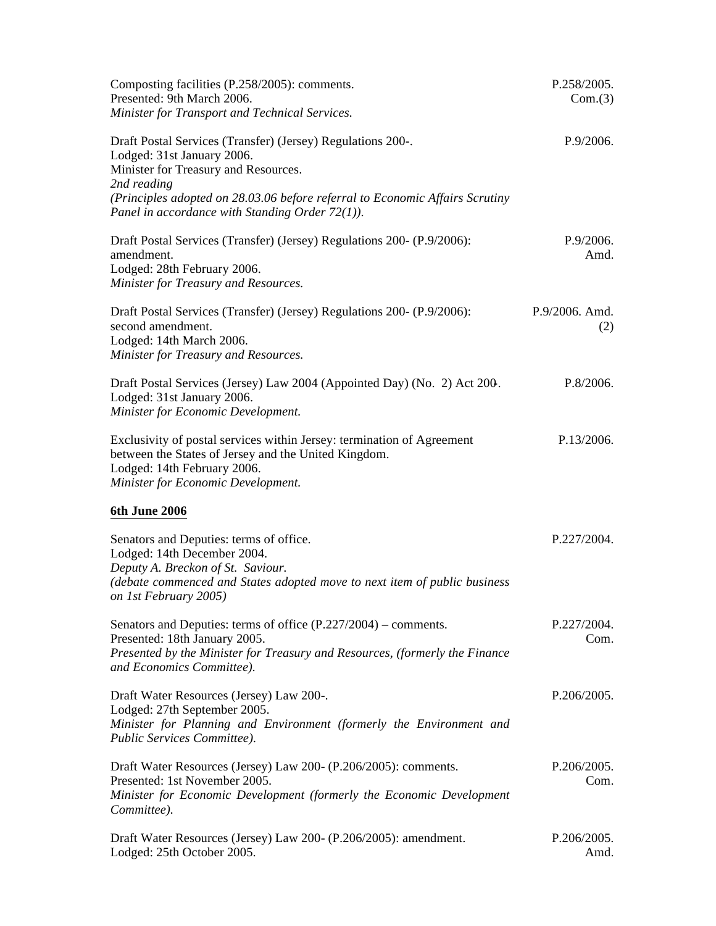| Composting facilities (P.258/2005): comments.<br>Presented: 9th March 2006.<br>Minister for Transport and Technical Services.                                                                                                                                                          | P.258/2005.<br>Com.(3) |
|----------------------------------------------------------------------------------------------------------------------------------------------------------------------------------------------------------------------------------------------------------------------------------------|------------------------|
| Draft Postal Services (Transfer) (Jersey) Regulations 200-.<br>Lodged: 31st January 2006.<br>Minister for Treasury and Resources.<br>2nd reading<br>(Principles adopted on 28.03.06 before referral to Economic Affairs Scrutiny<br>Panel in accordance with Standing Order $72(1)$ ). | P.9/2006.              |
| Draft Postal Services (Transfer) (Jersey) Regulations 200- (P.9/2006):<br>amendment.<br>Lodged: 28th February 2006.<br>Minister for Treasury and Resources.                                                                                                                            | P.9/2006.<br>Amd.      |
| Draft Postal Services (Transfer) (Jersey) Regulations 200- (P.9/2006):<br>second amendment.<br>Lodged: 14th March 2006.<br>Minister for Treasury and Resources.                                                                                                                        | P.9/2006. Amd.<br>(2)  |
| Draft Postal Services (Jersey) Law 2004 (Appointed Day) (No. 2) Act 200.<br>Lodged: 31st January 2006.<br>Minister for Economic Development.                                                                                                                                           | P.8/2006.              |
| Exclusivity of postal services within Jersey: termination of Agreement<br>between the States of Jersey and the United Kingdom.<br>Lodged: 14th February 2006.<br>Minister for Economic Development.                                                                                    | P.13/2006.             |
| 6th June 2006                                                                                                                                                                                                                                                                          |                        |
| Senators and Deputies: terms of office.<br>Lodged: 14th December 2004.<br>Deputy A. Breckon of St. Saviour.<br>(debate commenced and States adopted move to next item of public business<br>on 1st February 2005)                                                                      | P.227/2004.            |
| Senators and Deputies: terms of office $(P.227/2004)$ – comments.<br>Presented: 18th January 2005.<br>Presented by the Minister for Treasury and Resources, (formerly the Finance<br>and Economics Committee).                                                                         | P.227/2004.<br>Com.    |
| Draft Water Resources (Jersey) Law 200-.<br>Lodged: 27th September 2005.<br>Minister for Planning and Environment (formerly the Environment and<br>Public Services Committee).                                                                                                         | P.206/2005.            |
| Draft Water Resources (Jersey) Law 200- (P.206/2005): comments.<br>Presented: 1st November 2005.<br>Minister for Economic Development (formerly the Economic Development<br>Committee).                                                                                                | P.206/2005.<br>Com.    |
| Draft Water Resources (Jersey) Law 200- (P.206/2005): amendment.<br>Lodged: 25th October 2005.                                                                                                                                                                                         | P.206/2005.<br>Amd.    |